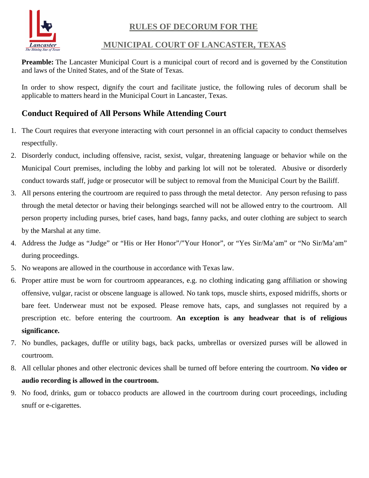**RULES OF DECORUM FOR THE**



## **MUNICIPAL COURT OF LANCASTER, TEXAS**

**Preamble:** The Lancaster Municipal Court is a municipal court of record and is governed by the Constitution and laws of the United States, and of the State of Texas.

In order to show respect, dignify the court and facilitate justice, the following rules of decorum shall be applicable to matters heard in the Municipal Court in Lancaster, Texas.

## **Conduct Required of All Persons While Attending Court**

- 1. The Court requires that everyone interacting with court personnel in an official capacity to conduct themselves respectfully.
- 2. Disorderly conduct, including offensive, racist, sexist, vulgar, threatening language or behavior while on the Municipal Court premises, including the lobby and parking lot will not be tolerated. Abusive or disorderly conduct towards staff, judge or prosecutor will be subject to removal from the Municipal Court by the Bailiff.
- 3. All persons entering the courtroom are required to pass through the metal detector. Any person refusing to pass through the metal detector or having their belongings searched will not be allowed entry to the courtroom. All person property including purses, brief cases, hand bags, fanny packs, and outer clothing are subject to search by the Marshal at any time.
- 4. Address the Judge as "Judge" or "His or Her Honor"/"Your Honor", or "Yes Sir/Ma'am" or "No Sir/Ma'am" during proceedings.
- 5. No weapons are allowed in the courthouse in accordance with Texas law.
- 6. Proper attire must be worn for courtroom appearances, e.g. no clothing indicating gang affiliation or showing offensive, vulgar, racist or obscene language is allowed. No tank tops, muscle shirts, exposed midriffs, shorts or bare feet. Underwear must not be exposed. Please remove hats, caps, and sunglasses not required by a prescription etc. before entering the courtroom. **An exception is any headwear that is of religious significance.**
- 7. No bundles, packages, duffle or utility bags, back packs, umbrellas or oversized purses will be allowed in courtroom.
- 8. All cellular phones and other electronic devices shall be turned off before entering the courtroom. **No video or audio recording is allowed in the courtroom.**
- 9. No food, drinks, gum or tobacco products are allowed in the courtroom during court proceedings, including snuff or e-cigarettes.